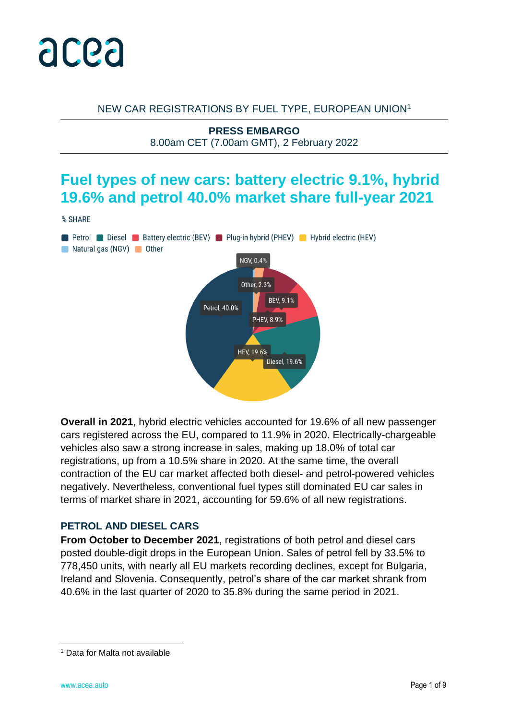

#### NEW CAR REGISTRATIONS BY FUEL TYPE, EUROPEAN UNION<sup>1</sup>

**PRESS EMBARGO** 8.00am CET (7.00am GMT), 2 February 2022

## **Fuel types of new cars: battery electric 9.1%, hybrid 19.6% and petrol 40.0% market share full-year 2021**





**Overall in 2021**, hybrid electric vehicles accounted for 19.6% of all new passenger cars registered across the EU, compared to 11.9% in 2020. Electrically-chargeable vehicles also saw a strong increase in sales, making up 18.0% of total car registrations, up from a 10.5% share in 2020. At the same time, the overall contraction of the EU car market affected both diesel- and petrol-powered vehicles negatively. Nevertheless, conventional fuel types still dominated EU car sales in terms of market share in 2021, accounting for 59.6% of all new registrations.

#### **PETROL AND DIESEL CARS**

**From October to December 2021**, registrations of both petrol and diesel cars posted double-digit drops in the European Union. Sales of petrol fell by 33.5% to 778,450 units, with nearly all EU markets recording declines, except for Bulgaria, Ireland and Slovenia. Consequently, petrol's share of the car market shrank from 40.6% in the last quarter of 2020 to 35.8% during the same period in 2021.

<sup>1</sup> Data for Malta not available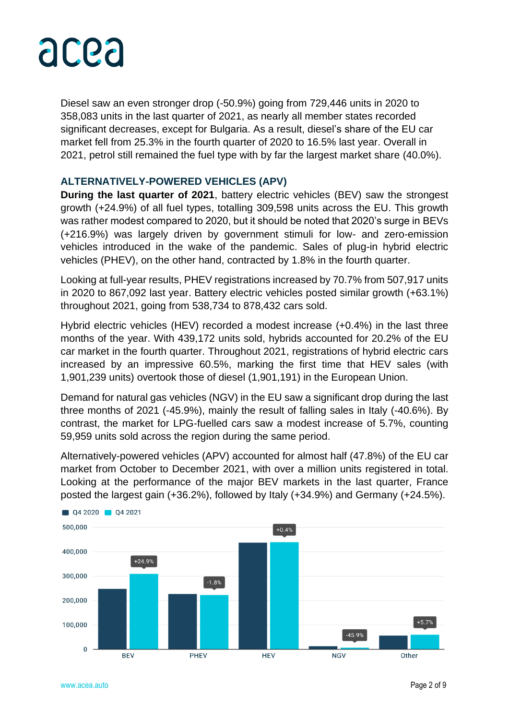

Diesel saw an even stronger drop (-50.9%) going from 729,446 units in 2020 to 358,083 units in the last quarter of 2021, as nearly all member states recorded significant decreases, except for Bulgaria. As a result, diesel's share of the EU car market fell from 25.3% in the fourth quarter of 2020 to 16.5% last year. Overall in 2021, petrol still remained the fuel type with by far the largest market share (40.0%).

#### **ALTERNATIVELY-POWERED VEHICLES (APV)**

**During the last quarter of 2021**, battery electric vehicles (BEV) saw the strongest growth (+24.9%) of all fuel types, totalling 309,598 units across the EU. This growth was rather modest compared to 2020, but it should be noted that 2020's surge in BEVs (+216.9%) was largely driven by government stimuli for low- and zero-emission vehicles introduced in the wake of the pandemic. Sales of plug-in hybrid electric vehicles (PHEV), on the other hand, contracted by 1.8% in the fourth quarter.

Looking at full-year results, PHEV registrations increased by 70.7% from 507,917 units in 2020 to 867,092 last year. Battery electric vehicles posted similar growth (+63.1%) throughout 2021, going from 538,734 to 878,432 cars sold.

Hybrid electric vehicles (HEV) recorded a modest increase (+0.4%) in the last three months of the year. With 439,172 units sold, hybrids accounted for 20.2% of the EU car market in the fourth quarter. Throughout 2021, registrations of hybrid electric cars increased by an impressive 60.5%, marking the first time that HEV sales (with 1,901,239 units) overtook those of diesel (1,901,191) in the European Union.

Demand for natural gas vehicles (NGV) in the EU saw a significant drop during the last three months of 2021 (-45.9%), mainly the result of falling sales in Italy (-40.6%). By contrast, the market for LPG-fuelled cars saw a modest increase of 5.7%, counting 59,959 units sold across the region during the same period.

Alternatively-powered vehicles (APV) accounted for almost half (47.8%) of the EU car market from October to December 2021, with over a million units registered in total. Looking at the performance of the major BEV markets in the last quarter, France posted the largest gain (+36.2%), followed by Italy (+34.9%) and Germany (+24.5%).

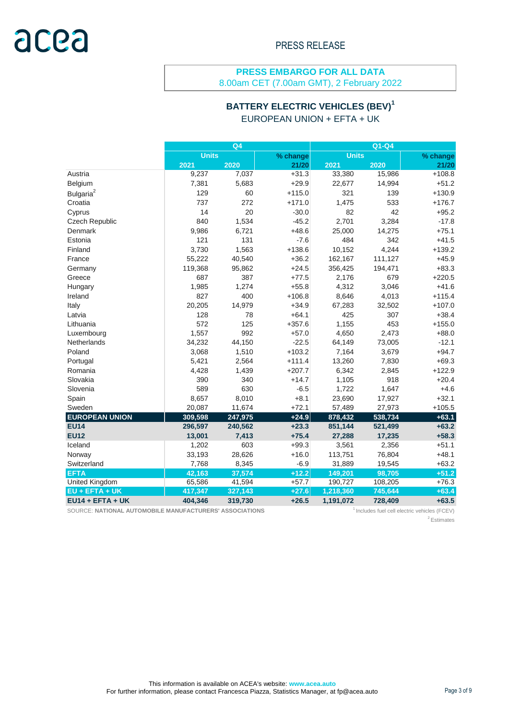8.00am CET (7.00am GMT), 2 February 2022

## **BATTERY ELECTRIC VEHICLES (BEV)<sup>1</sup>**

EUROPEAN UNION + EFTA + UK

|                       | $Q\overline{4}$ |         |          | $Q1-Q4$      |         |          |  |
|-----------------------|-----------------|---------|----------|--------------|---------|----------|--|
|                       | <b>Units</b>    |         | % change | <b>Units</b> |         | % change |  |
|                       | 2021            | 2020    | 21/20    | 2021         | 2020    | 21/20    |  |
| Austria               | 9,237           | 7,037   | $+31.3$  | 33,380       | 15,986  | $+108.8$ |  |
| Belgium               | 7,381           | 5,683   | $+29.9$  | 22,677       | 14,994  | $+51.2$  |  |
| Bulgaria <sup>2</sup> | 129             | 60      | $+115.0$ | 321          | 139     | $+130.9$ |  |
| Croatia               | 737             | 272     | $+171.0$ | 1,475        | 533     | $+176.7$ |  |
| Cyprus                | 14              | 20      | $-30.0$  | 82           | 42      | $+95.2$  |  |
| Czech Republic        | 840             | 1,534   | $-45.2$  | 2,701        | 3,284   | $-17.8$  |  |
| Denmark               | 9,986           | 6,721   | $+48.6$  | 25,000       | 14,275  | $+75.1$  |  |
| Estonia               | 121             | 131     | $-7.6$   | 484          | 342     | $+41.5$  |  |
| Finland               | 3,730           | 1,563   | $+138.6$ | 10,152       | 4,244   | $+139.2$ |  |
| France                | 55,222          | 40,540  | $+36.2$  | 162,167      | 111,127 | $+45.9$  |  |
| Germany               | 119,368         | 95,862  | $+24.5$  | 356,425      | 194,471 | $+83.3$  |  |
| Greece                | 687             | 387     | $+77.5$  | 2,176        | 679     | $+220.5$ |  |
| Hungary               | 1,985           | 1,274   | $+55.8$  | 4,312        | 3,046   | $+41.6$  |  |
| Ireland               | 827             | 400     | $+106.8$ | 8,646        | 4,013   | $+115.4$ |  |
| Italy                 | 20,205          | 14,979  | $+34.9$  | 67,283       | 32,502  | $+107.0$ |  |
| Latvia                | 128             | 78      | $+64.1$  | 425          | 307     | $+38.4$  |  |
| Lithuania             | 572             | 125     | $+357.6$ | 1,155        | 453     | $+155.0$ |  |
| Luxembourg            | 1,557           | 992     | $+57.0$  | 4,650        | 2,473   | $+88.0$  |  |
| <b>Netherlands</b>    | 34,232          | 44,150  | $-22.5$  | 64,149       | 73,005  | $-12.1$  |  |
| Poland                | 3,068           | 1,510   | $+103.2$ | 7,164        | 3,679   | $+94.7$  |  |
| Portugal              | 5,421           | 2,564   | $+111.4$ | 13,260       | 7,830   | $+69.3$  |  |
| Romania               | 4,428           | 1,439   | $+207.7$ | 6,342        | 2,845   | $+122.9$ |  |
| Slovakia              | 390             | 340     | $+14.7$  | 1,105        | 918     | $+20.4$  |  |
| Slovenia              | 589             | 630     | $-6.5$   | 1,722        | 1,647   | $+4.6$   |  |
| Spain                 | 8,657           | 8,010   | $+8.1$   | 23,690       | 17,927  | $+32.1$  |  |
| Sweden                | 20,087          | 11,674  | $+72.1$  | 57,489       | 27,973  | $+105.5$ |  |
| <b>EUROPEAN UNION</b> | 309,598         | 247,975 | $+24.9$  | 878,432      | 538,734 | $+63.1$  |  |
| <b>EU14</b>           | 296,597         | 240,562 | $+23.3$  | 851,144      | 521,499 | $+63.2$  |  |
| <b>EU12</b>           | 13,001          | 7,413   | $+75.4$  | 27,288       | 17,235  | $+58.3$  |  |
| Iceland               | 1,202           | 603     | $+99.3$  | 3,561        | 2,356   | $+51.1$  |  |
| Norway                | 33,193          | 28,626  | $+16.0$  | 113,751      | 76,804  | $+48.1$  |  |
| Switzerland           | 7,768           | 8,345   | $-6.9$   | 31,889       | 19,545  | $+63.2$  |  |
| <b>EFTA</b>           | 42,163          | 37,574  | $+12.2$  | 149,201      | 98,705  | $+51.2$  |  |
| <b>United Kingdom</b> | 65,586          | 41,594  | $+57.7$  | 190,727      | 108,205 | $+76.3$  |  |
| $EU + EFTA + UK$      | 417,347         | 327,143 | $+27.6$  | 1,218,360    | 745,644 | $+63.4$  |  |
| $EU14 + EFTA + UK$    | 404,346         | 319,730 | $+26.5$  | 1,191,072    | 728,409 | $+63.5$  |  |

SOURCE: NATIONAL AUTOMOBILE MANUFACTURERS' ASSOCIATIONS **1**Includes fuel cell electric vehicles (FCEV)

<sup>2</sup> Estimates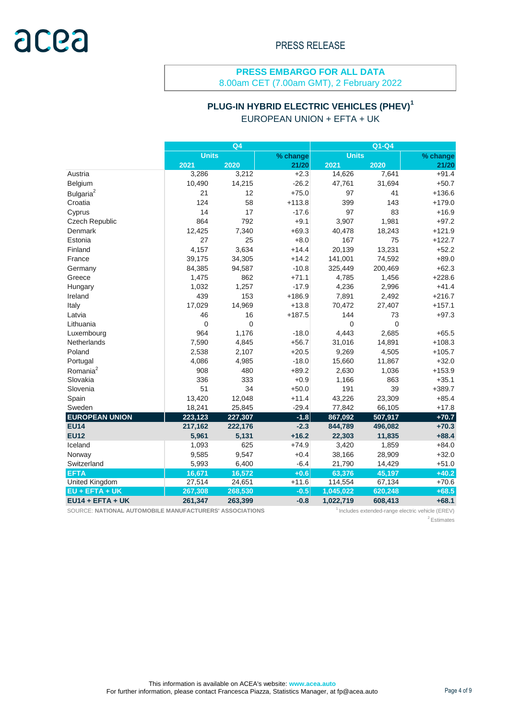8.00am CET (7.00am GMT), 2 February 2022

### **PLUG-IN HYBRID ELECTRIC VEHICLES (PHEV)<sup>1</sup>**

EUROPEAN UNION + EFTA + UK

|                       | Q <sub>4</sub> |             |          | Q1-Q4        |                |          |  |
|-----------------------|----------------|-------------|----------|--------------|----------------|----------|--|
|                       | <b>Units</b>   |             | % change | <b>Units</b> |                | % change |  |
|                       | 2021           | 2020        | 21/20    | 2021         | 2020           | 21/20    |  |
| Austria               | 3,286          | 3,212       | $+2.3$   | 14,626       | 7,641          | $+91.4$  |  |
| Belgium               | 10,490         | 14,215      | $-26.2$  | 47,761       | 31,694         | $+50.7$  |  |
| Bulgaria <sup>2</sup> | 21             | 12          | $+75.0$  | 97           | 41             | $+136.6$ |  |
| Croatia               | 124            | 58          | $+113.8$ | 399          | 143            | $+179.0$ |  |
| Cyprus                | 14             | 17          | $-17.6$  | 97           | 83             | $+16.9$  |  |
| Czech Republic        | 864            | 792         | $+9.1$   | 3,907        | 1,981          | $+97.2$  |  |
| Denmark               | 12,425         | 7,340       | $+69.3$  | 40,478       | 18,243         | $+121.9$ |  |
| Estonia               | 27             | 25          | $+8.0$   | 167          | 75             | $+122.7$ |  |
| Finland               | 4,157          | 3,634       | $+14.4$  | 20,139       | 13,231         | $+52.2$  |  |
| France                | 39,175         | 34,305      | $+14.2$  | 141,001      | 74,592         | $+89.0$  |  |
| Germany               | 84,385         | 94,587      | $-10.8$  | 325,449      | 200,469        | $+62.3$  |  |
| Greece                | 1,475          | 862         | $+71.1$  | 4,785        | 1,456          | $+228.6$ |  |
| Hungary               | 1,032          | 1,257       | $-17.9$  | 4,236        | 2,996          | $+41.4$  |  |
| Ireland               | 439            | 153         | $+186.9$ | 7,891        | 2,492          | $+216.7$ |  |
| Italy                 | 17,029         | 14,969      | $+13.8$  | 70,472       | 27,407         | $+157.1$ |  |
| Latvia                | 46             | 16          | $+187.5$ | 144          | 73             | $+97.3$  |  |
| Lithuania             | $\Omega$       | $\mathbf 0$ |          | 0            | $\overline{0}$ |          |  |
| Luxembourg            | 964            | 1,176       | $-18.0$  | 4.443        | 2,685          | $+65.5$  |  |
| <b>Netherlands</b>    | 7,590          | 4,845       | $+56.7$  | 31,016       | 14,891         | $+108.3$ |  |
| Poland                | 2,538          | 2,107       | $+20.5$  | 9,269        | 4,505          | $+105.7$ |  |
| Portugal              | 4,086          | 4,985       | $-18.0$  | 15,660       | 11,867         | $+32.0$  |  |
| Romania <sup>2</sup>  | 908            | 480         | $+89.2$  | 2,630        | 1,036          | $+153.9$ |  |
| Slovakia              | 336            | 333         | $+0.9$   | 1,166        | 863            | $+35.1$  |  |
| Slovenia              | 51             | 34          | $+50.0$  | 191          | 39             | $+389.7$ |  |
| Spain                 | 13,420         | 12,048      | $+11.4$  | 43,226       | 23,309         | $+85.4$  |  |
| Sweden                | 18,241         | 25,845      | $-29.4$  | 77,842       | 66,105         | $+17.8$  |  |
| <b>EUROPEAN UNION</b> | 223,123        | 227,307     | $-1.8$   | 867,092      | 507,917        | $+70.7$  |  |
| <b>EU14</b>           | 217,162        | 222,176     | $-2.3$   | 844,789      | 496,082        | $+70.3$  |  |
| <b>EU12</b>           | 5,961          | 5,131       | $+16.2$  | 22,303       | 11,835         | $+88.4$  |  |
| Iceland               | 1,093          | 625         | $+74.9$  | 3,420        | 1,859          | $+84.0$  |  |
| Norway                | 9,585          | 9,547       | $+0.4$   | 38,166       | 28,909         | $+32.0$  |  |
| Switzerland           | 5,993          | 6,400       | $-6.4$   | 21,790       | 14,429         | $+51.0$  |  |
| <b>EFTA</b>           | 16,671         | 16,572      | $+0.6$   | 63,376       | 45,197         | $+40.2$  |  |
| United Kingdom        | 27,514         | 24,651      | $+11.6$  | 114,554      | 67,134         | $+70.6$  |  |
| $EU + EFTA + UK$      | 267,308        | 268,530     | $-0.5$   | 1,045,022    | 620,248        | $+68.5$  |  |
| $EU14 + EFTA + UK$    | 261,347        | 263,399     | $-0.8$   | 1,022,719    | 608,413        | $+68.1$  |  |

SOURCE: NATIONAL AUTOMOBILE MANUFACTURERS' ASSOCIATIONS **1** Includes extended-range electric vehicle (EREV)

<sup>2</sup> Estimates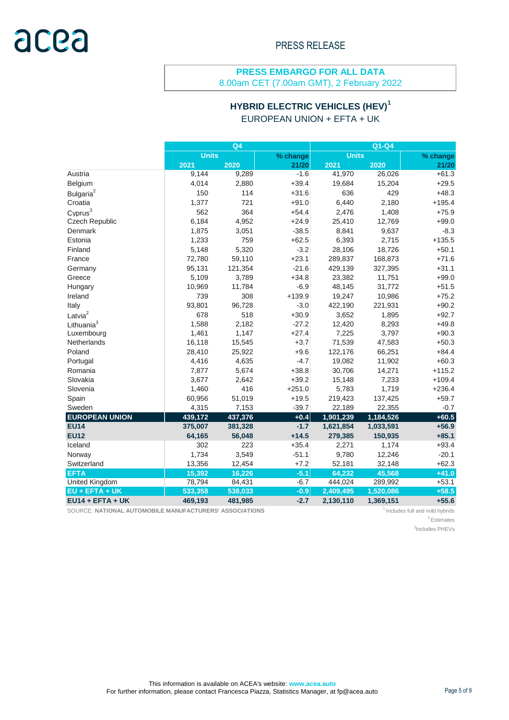# acea

### **PRESS EMBARGO FOR ALL DATA**

8.00am CET (7.00am GMT), 2 February 2022

#### **HYBRID ELECTRIC VEHICLES (HEV)<sup>1</sup>** EUROPEAN UNION + EFTA + UK

|                        | Q <sub>4</sub> |         |          | $Q1-Q4$      |           |          |  |
|------------------------|----------------|---------|----------|--------------|-----------|----------|--|
|                        | <b>Units</b>   |         | % change | <b>Units</b> |           | % change |  |
|                        | 2021           | 2020    | 21/20    | 2021         | 2020      | 21/20    |  |
| Austria                | 9,144          | 9,289   | $-1.6$   | 41,970       | 26,026    | $+61.3$  |  |
| Belgium                | 4,014          | 2,880   | $+39.4$  | 19,684       | 15,204    | $+29.5$  |  |
| Bulgaria <sup>2</sup>  | 150            | 114     | $+31.6$  | 636          | 429       | $+48.3$  |  |
| Croatia                | 1,377          | 721     | $+91.0$  | 6,440        | 2,180     | $+195.4$ |  |
| Cyprus <sup>3</sup>    | 562            | 364     | $+54.4$  | 2,476        | 1,408     | $+75.9$  |  |
| Czech Republic         | 6,184          | 4,952   | $+24.9$  | 25,410       | 12,769    | $+99.0$  |  |
| Denmark                | 1,875          | 3,051   | $-38.5$  | 8,841        | 9,637     | $-8.3$   |  |
| Estonia                | 1,233          | 759     | $+62.5$  | 6,393        | 2,715     | $+135.5$ |  |
| Finland                | 5,148          | 5,320   | $-3.2$   | 28,106       | 18,726    | $+50.1$  |  |
| France                 | 72,780         | 59,110  | $+23.1$  | 289,837      | 168,873   | $+71.6$  |  |
| Germany                | 95,131         | 121,354 | $-21.6$  | 429,139      | 327,395   | $+31.1$  |  |
| Greece                 | 5,109          | 3,789   | $+34.8$  | 23,382       | 11,751    | $+99.0$  |  |
| Hungary                | 10,969         | 11,784  | $-6.9$   | 48,145       | 31,772    | $+51.5$  |  |
| Ireland                | 739            | 308     | $+139.9$ | 19,247       | 10,986    | $+75.2$  |  |
| Italy                  | 93,801         | 96,728  | $-3.0$   | 422,190      | 221,931   | $+90.2$  |  |
| Latvia <sup>2</sup>    | 678            | 518     | $+30.9$  | 3,652        | 1,895     | $+92.7$  |  |
| Lithuania <sup>3</sup> | 1,588          | 2,182   | $-27.2$  | 12,420       | 8,293     | $+49.8$  |  |
| Luxembourg             | 1,461          | 1,147   | $+27.4$  | 7,225        | 3,797     | $+90.3$  |  |
| <b>Netherlands</b>     | 16,118         | 15,545  | $+3.7$   | 71,539       | 47,583    | $+50.3$  |  |
| Poland                 | 28,410         | 25,922  | $+9.6$   | 122,176      | 66,251    | $+84.4$  |  |
| Portugal               | 4,416          | 4,635   | $-4.7$   | 19,082       | 11,902    | $+60.3$  |  |
| Romania                | 7,877          | 5,674   | $+38.8$  | 30,706       | 14,271    | $+115.2$ |  |
| Slovakia               | 3,677          | 2,642   | $+39.2$  | 15,148       | 7,233     | $+109.4$ |  |
| Slovenia               | 1,460          | 416     | $+251.0$ | 5,783        | 1,719     | $+236.4$ |  |
| Spain                  | 60,956         | 51,019  | $+19.5$  | 219,423      | 137,425   | $+59.7$  |  |
| Sweden                 | 4,315          | 7,153   | $-39.7$  | 22,189       | 22,355    | $-0.7$   |  |
| <b>EUROPEAN UNION</b>  | 439,172        | 437,376 | $+0.4$   | 1,901,239    | 1,184,526 | $+60.5$  |  |
| <b>EU14</b>            | 375,007        | 381,328 | $-1.7$   | 1,621,854    | 1,033,591 | $+56.9$  |  |
| <b>EU12</b>            | 64,165         | 56,048  | $+14.5$  | 279,385      | 150,935   | $+85.1$  |  |
| Iceland                | 302            | 223     | $+35.4$  | 2,271        | 1,174     | $+93.4$  |  |
| Norway                 | 1,734          | 3,549   | $-51.1$  | 9,780        | 12,246    | $-20.1$  |  |
| Switzerland            | 13,356         | 12,454  | $+7.2$   | 52,181       | 32,148    | $+62.3$  |  |
| <b>EFTA</b>            | 15,392         | 16,226  | $-5.1$   | 64,232       | 45,568    | $+41.0$  |  |
| United Kingdom         | 78,794         | 84,431  | $-6.7$   | 444,024      | 289,992   | $+53.1$  |  |
| $EU + EFTA + UK$       | 533,358        | 538,033 | $-0.9$   | 2,409,495    | 1,520,086 | $+58.5$  |  |
| $EU14 + EFTA + UK$     | 469,193        | 481,985 | $-2.7$   | 2,130,110    | 1,369,151 | $+55.6$  |  |

SOURCE: **NATIONAL AUTOMOBILE MANUFACTURERS' ASSOCIATIONS** <sup>1</sup>Includes full and mild hybrids

<sup>2</sup> Estimates

3 Includes PHEVs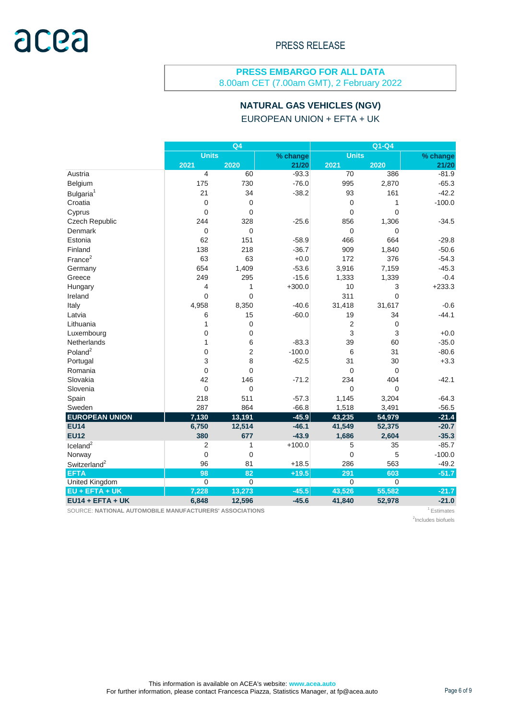8.00am CET (7.00am GMT), 2 February 2022

#### **NATURAL GAS VEHICLES (NGV)**

EUROPEAN UNION + EFTA + UK

|                          | Q <sub>4</sub> |                |          | Q1-Q4          |                |          |  |
|--------------------------|----------------|----------------|----------|----------------|----------------|----------|--|
|                          | <b>Units</b>   |                | % change | <b>Units</b>   |                | % change |  |
|                          | 2021           | 2020           | 21/20    | 2021           | 2020           | 21/20    |  |
| Austria                  | 4              | 60             | $-93.3$  | 70             | 386            | $-81.9$  |  |
| Belgium                  | 175            | 730            | $-76.0$  | 995            | 2,870          | $-65.3$  |  |
| Bulgaria <sup>1</sup>    | 21             | 34             | $-38.2$  | 93             | 161            | $-42.2$  |  |
| Croatia                  | $\mathbf 0$    | 0              |          | 0              | 1              | $-100.0$ |  |
| Cyprus                   | $\overline{0}$ | 0              |          | 0              | $\overline{0}$ |          |  |
| Czech Republic           | 244            | 328            | $-25.6$  | 856            | 1,306          | $-34.5$  |  |
| Denmark                  | $\overline{0}$ | 0              |          | 0              | 0              |          |  |
| Estonia                  | 62             | 151            | $-58.9$  | 466            | 664            | $-29.8$  |  |
| Finland                  | 138            | 218            | $-36.7$  | 909            | 1.840          | $-50.6$  |  |
| France <sup>2</sup>      | 63             | 63             | $+0.0$   | 172            | 376            | $-54.3$  |  |
| Germany                  | 654            | 1,409          | $-53.6$  | 3,916          | 7,159          | $-45.3$  |  |
| Greece                   | 249            | 295            | $-15.6$  | 1,333          | 1,339          | $-0.4$   |  |
| Hungary                  | 4              | 1              | $+300.0$ | 10             | 3              | $+233.3$ |  |
| Ireland                  | $\mathbf 0$    | 0              |          | 311            | $\Omega$       |          |  |
| Italy                    | 4,958          | 8,350          | $-40.6$  | 31,418         | 31,617         | $-0.6$   |  |
| Latvia                   | 6              | 15             | $-60.0$  | 19             | 34             | $-44.1$  |  |
| Lithuania                | 1              | $\overline{0}$ |          | $\overline{2}$ | 0              |          |  |
| Luxembourg               | $\mathbf 0$    | 0              |          | 3              | 3              | $+0.0$   |  |
| <b>Netherlands</b>       | 1              | 6              | $-83.3$  | 39             | 60             | $-35.0$  |  |
| Poland <sup>2</sup>      | $\mathbf 0$    | 2              | $-100.0$ | 6              | 31             | $-80.6$  |  |
| Portugal                 | 3              | 8              | $-62.5$  | 31             | 30             | $+3.3$   |  |
| Romania                  | $\overline{0}$ | $\overline{0}$ |          | 0              | $\overline{0}$ |          |  |
| Slovakia                 | 42             | 146            | $-71.2$  | 234            | 404            | $-42.1$  |  |
| Slovenia                 | $\overline{0}$ | $\overline{0}$ |          | 0              | 0              |          |  |
| Spain                    | 218            | 511            | $-57.3$  | 1,145          | 3,204          | $-64.3$  |  |
| Sweden                   | 287            | 864            | $-66.8$  | 1,518          | 3,491          | $-56.5$  |  |
| <b>EUROPEAN UNION</b>    | 7,130          | 13,191         | $-45.9$  | 43,235         | 54,979         | $-21.4$  |  |
| <b>EU14</b>              | 6,750          | 12,514         | $-46.1$  | 41,549         | 52,375         | $-20.7$  |  |
| <b>EU12</b>              | 380            | 677            | $-43.9$  | 1,686          | 2,604          | $-35.3$  |  |
| $I$ celand $2$           | 2              | 1              | $+100.0$ | 5              | 35             | $-85.7$  |  |
| Norway                   | $\Omega$       | $\mathbf 0$    |          | 0              | 5              | $-100.0$ |  |
| Switzerland <sup>2</sup> | 96             | 81             | $+18.5$  | 286            | 563            | $-49.2$  |  |
| <b>EFTA</b>              | 98             | 82             | $+19.5$  | 291            | 603            | $-51.7$  |  |
| United Kingdom           | $\mathbf 0$    | $\mathbf 0$    |          | $\overline{0}$ | $\overline{0}$ |          |  |
| $EU + EFTA + UK$         | 7,228          | 13,273         | $-45.5$  | 43,526         | 55,582         | $-21.7$  |  |
| $EU14 + EFTA + UK$       | 6,848          | 12,596         | $-45.6$  | 41,840         | 52,978         | $-21.0$  |  |

SOURCE: NATIONAL AUTOMOBILE MANUFACTURERS' ASSOCIATIONS **120 AU 120 AU 120 AU 120 AU 120 AU 120 AU** 120 AU 120 AU 120 AU 120 AU 120 AU 120 AU 120 AU 120 AU 120 AU 120 AU 120 AU 120 AU 120 AU 120 AU 120 AU 120 AU 120 AU 120

2 Includes biofuels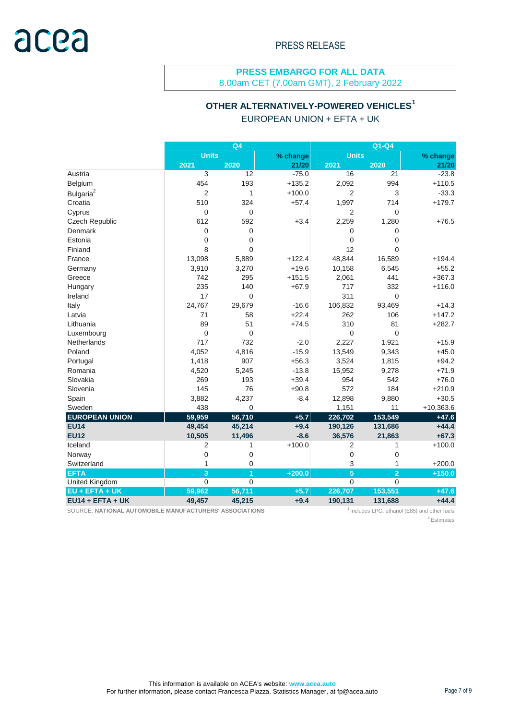8.00am CET (7.00am GMT), 2 February 2022

#### **OTHER ALTERNATIVELY-POWERED VEHICLES<sup>1</sup>**

EUROPEAN UNION + EFTA + UK

|                       | Q <sub>4</sub> |             |          | Q1-Q4          |                |             |  |
|-----------------------|----------------|-------------|----------|----------------|----------------|-------------|--|
|                       | <b>Units</b>   |             | % change | <b>Units</b>   |                | % change    |  |
|                       | 2021           | 2020        | 21/20    | 2021           | 2020           | 21/20       |  |
| Austria               | 3              | 12          | $-75.0$  | 16             | 21             | $-23.8$     |  |
| Belgium               | 454            | 193         | $+135.2$ | 2,092          | 994            | $+110.5$    |  |
| Bulgaria <sup>2</sup> | $\overline{2}$ | 1           | $+100.0$ | 2              | 3              | $-33.3$     |  |
| Croatia               | 510            | 324         | $+57.4$  | 1,997          | 714            | $+179.7$    |  |
| Cyprus                | $\overline{0}$ | 0           |          | $\overline{2}$ | $\overline{0}$ |             |  |
| Czech Republic        | 612            | 592         | $+3.4$   | 2,259          | 1,280          | $+76.5$     |  |
| Denmark               | $\overline{0}$ | 0           |          | 0              | 0              |             |  |
| Estonia               | $\Omega$       | 0           |          | $\Omega$       | 0              |             |  |
| Finland               | 8              | 0           |          | 12             | $\overline{0}$ |             |  |
| France                | 13,098         | 5,889       | $+122.4$ | 48,844         | 16,589         | $+194.4$    |  |
| Germany               | 3,910          | 3,270       | $+19.6$  | 10,158         | 6,545          | $+55.2$     |  |
| Greece                | 742            | 295         | $+151.5$ | 2,061          | 441            | $+367.3$    |  |
| Hungary               | 235            | 140         | $+67.9$  | 717            | 332            | $+116.0$    |  |
| Ireland               | 17             | 0           |          | 311            | 0              |             |  |
| Italy                 | 24,767         | 29,679      | $-16.6$  | 106,832        | 93,469         | $+14.3$     |  |
| Latvia                | 71             | 58          | $+22.4$  | 262            | 106            | $+147.2$    |  |
| Lithuania             | 89             | 51          | $+74.5$  | 310            | 81             | $+282.7$    |  |
| Luxembourg            | $\mathbf 0$    | $\mathbf 0$ |          | 0              | 0              |             |  |
| <b>Netherlands</b>    | 717            | 732         | $-2.0$   | 2,227          | 1,921          | $+15.9$     |  |
| Poland                | 4,052          | 4,816       | $-15.9$  | 13,549         | 9,343          | $+45.0$     |  |
| Portugal              | 1,418          | 907         | $+56.3$  | 3,524          | 1,815          | $+94.2$     |  |
| Romania               | 4,520          | 5,245       | $-13.8$  | 15,952         | 9,278          | $+71.9$     |  |
| Slovakia              | 269            | 193         | $+39.4$  | 954            | 542            | $+76.0$     |  |
| Slovenia              | 145            | 76          | $+90.8$  | 572            | 184            | $+210.9$    |  |
| Spain                 | 3,882          | 4,237       | $-8.4$   | 12,898         | 9,880          | $+30.5$     |  |
| Sweden                | 438            | $\mathbf 0$ |          | 1,151          | 11             | $+10,363.6$ |  |
| <b>EUROPEAN UNION</b> | 59,959         | 56,710      | $+5.7$   | 226,702        | 153,549        | $+47.6$     |  |
| <b>EU14</b>           | 49,454         | 45,214      | $+9.4$   | 190,126        | 131,686        | $+44.4$     |  |
| <b>EU12</b>           | 10,505         | 11,496      | $-8.6$   | 36,576         | 21,863         | $+67.3$     |  |
| Iceland               | 2              | 1           | $+100.0$ | 2              | 1              | $+100.0$    |  |
| Norway                | $\overline{0}$ | 0           |          | 0              | 0              |             |  |
| Switzerland           | 1              | 0           |          | 3              | 1              | $+200.0$    |  |
| <b>EFTA</b>           | $\overline{3}$ | 1           | $+200.0$ | 5              | $\overline{2}$ | $+150.0$    |  |
| <b>United Kingdom</b> | $\mathbf 0$    | $\mathbf 0$ |          | $\Omega$       | $\overline{0}$ |             |  |
| $EU + EFTA + UK$      | 59,962         | 56,711      | $+5.7$   | 226,707        | 153,551        | $+47.6$     |  |
| $EU14 + EFTA + UK$    | 49,457         | 45,215      | $+9.4$   | 190,131        | 131,688        | $+44.4$     |  |

SOURCE: NATIONAL AUTOMOBILE MANUFACTURERS' ASSOCIATIONS **1** Includes LPG, ethanol (E85) and other fuels

<sup>2</sup> Estimates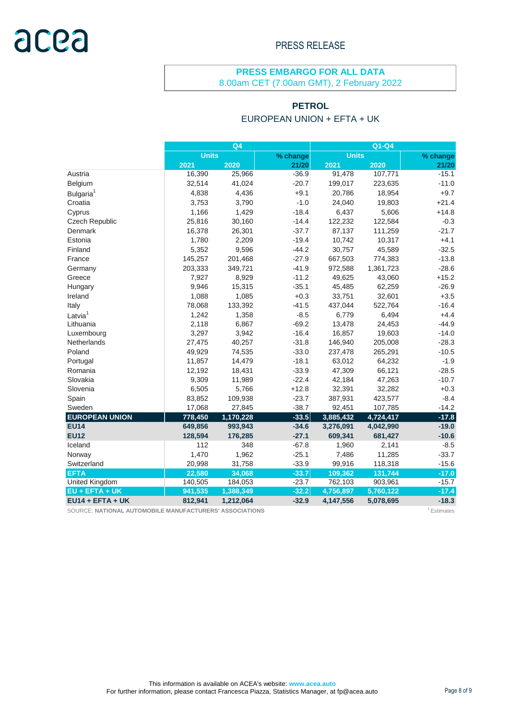# acea

#### PRESS RELEASE

#### **PRESS EMBARGO FOR ALL DATA** 8.00am CET (7.00am GMT), 2 February 2022

#### **PETROL**

#### EUROPEAN UNION + EFTA + UK

|                       | Q <sub>4</sub> |           |          | $Q1-Q4$      |           |          |  |
|-----------------------|----------------|-----------|----------|--------------|-----------|----------|--|
|                       | <b>Units</b>   |           | % change | <b>Units</b> |           | % change |  |
|                       | 2021           | 2020      | 21/20    | 2021         | 2020      | 21/20    |  |
| Austria               | 16,390         | 25,966    | $-36.9$  | 91,478       | 107,771   | $-15.1$  |  |
| Belgium               | 32,514         | 41,024    | $-20.7$  | 199,017      | 223,635   | $-11.0$  |  |
| Bulgaria <sup>1</sup> | 4,838          | 4,436     | $+9.1$   | 20,786       | 18,954    | $+9.7$   |  |
| Croatia               | 3,753          | 3,790     | $-1.0$   | 24,040       | 19,803    | $+21.4$  |  |
| Cyprus                | 1,166          | 1,429     | $-18.4$  | 6,437        | 5,606     | $+14.8$  |  |
| Czech Republic        | 25,816         | 30,160    | $-14.4$  | 122,232      | 122,584   | $-0.3$   |  |
| Denmark               | 16,378         | 26,301    | $-37.7$  | 87,137       | 111,259   | $-21.7$  |  |
| Estonia               | 1,780          | 2,209     | $-19.4$  | 10,742       | 10,317    | $+4.1$   |  |
| Finland               | 5,352          | 9,596     | $-44.2$  | 30,757       | 45,589    | $-32.5$  |  |
| France                | 145,257        | 201,468   | $-27.9$  | 667,503      | 774,383   | $-13.8$  |  |
| Germany               | 203,333        | 349,721   | $-41.9$  | 972,588      | 1,361,723 | $-28.6$  |  |
| Greece                | 7,927          | 8,929     | $-11.2$  | 49,625       | 43,060    | $+15.2$  |  |
| Hungary               | 9,946          | 15,315    | $-35.1$  | 45,485       | 62,259    | $-26.9$  |  |
| Ireland               | 1,088          | 1,085     | $+0.3$   | 33,751       | 32,601    | $+3.5$   |  |
| Italy                 | 78,068         | 133,392   | $-41.5$  | 437,044      | 522,764   | $-16.4$  |  |
| Latvia <sup>1</sup>   | 1,242          | 1,358     | $-8.5$   | 6,779        | 6,494     | $+4.4$   |  |
| Lithuania             | 2,118          | 6,867     | $-69.2$  | 13,478       | 24,453    | $-44.9$  |  |
| Luxembourg            | 3,297          | 3,942     | $-16.4$  | 16,857       | 19,603    | $-14.0$  |  |
| <b>Netherlands</b>    | 27,475         | 40,257    | $-31.8$  | 146,940      | 205,008   | $-28.3$  |  |
| Poland                | 49,929         | 74,535    | $-33.0$  | 237,478      | 265,291   | $-10.5$  |  |
| Portugal              | 11,857         | 14,479    | $-18.1$  | 63,012       | 64,232    | $-1.9$   |  |
| Romania               | 12,192         | 18,431    | $-33.9$  | 47,309       | 66,121    | $-28.5$  |  |
| Slovakia              | 9,309          | 11,989    | $-22.4$  | 42,184       | 47,263    | $-10.7$  |  |
| Slovenia              | 6,505          | 5,766     | $+12.8$  | 32,391       | 32,282    | $+0.3$   |  |
| Spain                 | 83,852         | 109,938   | $-23.7$  | 387,931      | 423,577   | $-8.4$   |  |
| Sweden                | 17,068         | 27,845    | $-38.7$  | 92,451       | 107,785   | $-14.2$  |  |
| <b>EUROPEAN UNION</b> | 778,450        | 1,170,228 | $-33.5$  | 3,885,432    | 4,724,417 | $-17.8$  |  |
| <b>EU14</b>           | 649,856        | 993,943   | $-34.6$  | 3,276,091    | 4,042,990 | $-19.0$  |  |
| <b>EU12</b>           | 128,594        | 176,285   | $-27.1$  | 609,341      | 681,427   | $-10.6$  |  |
| Iceland               | 112            | 348       | $-67.8$  | 1,960        | 2,141     | $-8.5$   |  |
| Norway                | 1,470          | 1,962     | $-25.1$  | 7,486        | 11,285    | $-33.7$  |  |
| Switzerland           | 20,998         | 31,758    | $-33.9$  | 99,916       | 118,318   | $-15.6$  |  |
| <b>EFTA</b>           | 22,580         | 34,068    | $-33.7$  | 109,362      | 131,744   | $-17.0$  |  |
| United Kingdom        | 140,505        | 184,053   | $-23.7$  | 762,103      | 903,961   | $-15.7$  |  |
| EU + EFTA + UK        | 941,535        | 1,388,349 | $-32.2$  | 4,756,897    | 5,760,122 | $-17.4$  |  |
| $EU14 + EFTA + UK$    | 812,941        | 1,212,064 | $-32.9$  | 4,147,556    | 5,078,695 | $-18.3$  |  |

SOURCE: **NATIONAL AUTOMOBILE MANUFACTURERS' ASSOCIATIONS** <sup>1</sup>Estimates